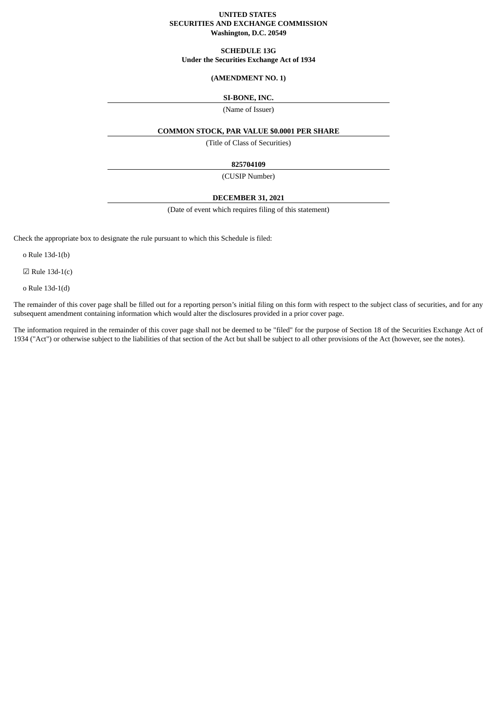## **UNITED STATES SECURITIES AND EXCHANGE COMMISSION Washington, D.C. 20549**

**SCHEDULE 13G Under the Securities Exchange Act of 1934**

# **(AMENDMENT NO. 1)**

### **SI-BONE, INC.**

(Name of Issuer)

#### **COMMON STOCK, PAR VALUE \$0.0001 PER SHARE**

(Title of Class of Securities)

## **825704109**

(CUSIP Number)

## **DECEMBER 31, 2021**

(Date of event which requires filing of this statement)

Check the appropriate box to designate the rule pursuant to which this Schedule is filed:

o Rule 13d-1(b)

 $\boxtimes$  Rule 13d-1(c)

o Rule 13d-1(d)

The remainder of this cover page shall be filled out for a reporting person's initial filing on this form with respect to the subject class of securities, and for any subsequent amendment containing information which would alter the disclosures provided in a prior cover page.

The information required in the remainder of this cover page shall not be deemed to be "filed" for the purpose of Section 18 of the Securities Exchange Act of 1934 ("Act") or otherwise subject to the liabilities of that section of the Act but shall be subject to all other provisions of the Act (however, see the notes).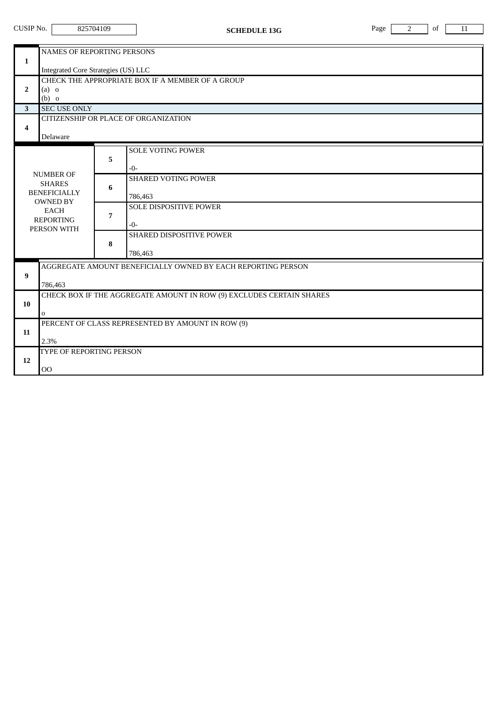| CUSIP No.<br>825704109                                                                                                        |                                                                                                                                                                                                                               |                   | <b>SCHEDULE 13G</b>                                                                                                                                         | Page<br>2 | of | 11 |  |  |
|-------------------------------------------------------------------------------------------------------------------------------|-------------------------------------------------------------------------------------------------------------------------------------------------------------------------------------------------------------------------------|-------------------|-------------------------------------------------------------------------------------------------------------------------------------------------------------|-----------|----|----|--|--|
| $\mathbf{1}$<br>$\overline{2}$<br>3<br>4                                                                                      | NAMES OF REPORTING PERSONS<br><b>Integrated Core Strategies (US) LLC</b><br>CHECK THE APPROPRIATE BOX IF A MEMBER OF A GROUP<br>$(a)$ o<br>$(b)$ o<br><b>SEC USE ONLY</b><br>CITIZENSHIP OR PLACE OF ORGANIZATION<br>Delaware |                   |                                                                                                                                                             |           |    |    |  |  |
| <b>NUMBER OF</b><br><b>SHARES</b><br><b>BENEFICIALLY</b><br><b>OWNED BY</b><br><b>EACH</b><br><b>REPORTING</b><br>PERSON WITH |                                                                                                                                                                                                                               | 5.<br>6<br>7<br>8 | <b>SOLE VOTING POWER</b><br>$-0-$<br><b>SHARED VOTING POWER</b><br>786,463<br><b>SOLE DISPOSITIVE POWER</b><br>$-0-$<br>SHARED DISPOSITIVE POWER<br>786,463 |           |    |    |  |  |
| 9<br>10                                                                                                                       | AGGREGATE AMOUNT BENEFICIALLY OWNED BY EACH REPORTING PERSON<br>786,463<br>CHECK BOX IF THE AGGREGATE AMOUNT IN ROW (9) EXCLUDES CERTAIN SHARES<br>0                                                                          |                   |                                                                                                                                                             |           |    |    |  |  |
| 11<br>12                                                                                                                      | PERCENT OF CLASS REPRESENTED BY AMOUNT IN ROW (9)<br>2.3%<br>TYPE OF REPORTING PERSON<br>00                                                                                                                                   |                   |                                                                                                                                                             |           |    |    |  |  |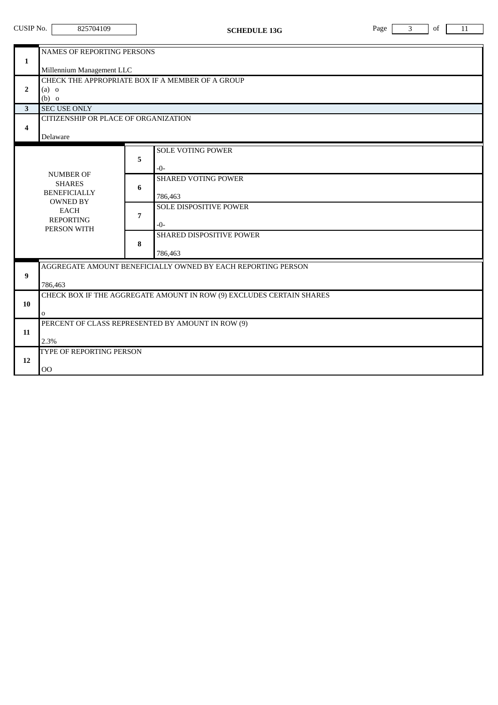| CUSIP No.      | 825704109                                                                                                                     |   | <b>SCHEDULE 13G</b>                                             | Page | 3 | of | 11 |  |  |  |
|----------------|-------------------------------------------------------------------------------------------------------------------------------|---|-----------------------------------------------------------------|------|---|----|----|--|--|--|
| $\mathbf{1}$   | NAMES OF REPORTING PERSONS<br>Millennium Management LLC<br>CHECK THE APPROPRIATE BOX IF A MEMBER OF A GROUP                   |   |                                                                 |      |   |    |    |  |  |  |
| $\overline{2}$ | $(a)$ o<br>$(b)$ o                                                                                                            |   |                                                                 |      |   |    |    |  |  |  |
| 3<br>4         | <b>SEC USE ONLY</b><br>CITIZENSHIP OR PLACE OF ORGANIZATION<br>Delaware                                                       |   |                                                                 |      |   |    |    |  |  |  |
|                | <b>NUMBER OF</b><br><b>SHARES</b><br><b>BENEFICIALLY</b><br><b>OWNED BY</b><br><b>EACH</b><br><b>REPORTING</b><br>PERSON WITH | 5 | <b>SOLE VOTING POWER</b><br>$-0-$<br><b>SHARED VOTING POWER</b> |      |   |    |    |  |  |  |
|                |                                                                                                                               | 6 | 786,463<br><b>SOLE DISPOSITIVE POWER</b>                        |      |   |    |    |  |  |  |
|                |                                                                                                                               | 7 | $-0-$<br>SHARED DISPOSITIVE POWER                               |      |   |    |    |  |  |  |
|                |                                                                                                                               | 8 | 786,463                                                         |      |   |    |    |  |  |  |
| 9              | AGGREGATE AMOUNT BENEFICIALLY OWNED BY EACH REPORTING PERSON<br>786,463                                                       |   |                                                                 |      |   |    |    |  |  |  |
| 10             | CHECK BOX IF THE AGGREGATE AMOUNT IN ROW (9) EXCLUDES CERTAIN SHARES<br>$\mathbf 0$                                           |   |                                                                 |      |   |    |    |  |  |  |
| 11             | PERCENT OF CLASS REPRESENTED BY AMOUNT IN ROW (9)<br>2.3%                                                                     |   |                                                                 |      |   |    |    |  |  |  |
| 12             | TYPE OF REPORTING PERSON<br>00                                                                                                |   |                                                                 |      |   |    |    |  |  |  |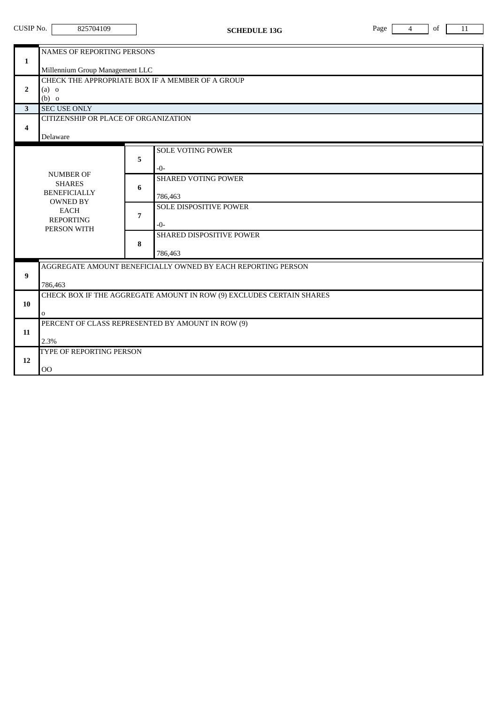| CUSIP No.      | 825704109                                                                                                              |   | <b>SCHEDULE 13G</b>                    | Page | $\overline{4}$ | of | 11 |  |  |  |  |
|----------------|------------------------------------------------------------------------------------------------------------------------|---|----------------------------------------|------|----------------|----|----|--|--|--|--|
| $\mathbf{1}$   | <b>NAMES OF REPORTING PERSONS</b>                                                                                      |   |                                        |      |                |    |    |  |  |  |  |
| $\overline{2}$ | Millennium Group Management LLC<br>CHECK THE APPROPRIATE BOX IF A MEMBER OF A GROUP<br>$(a)$ o                         |   |                                        |      |                |    |    |  |  |  |  |
| 3              | $(b)$ o<br><b>SEC USE ONLY</b>                                                                                         |   |                                        |      |                |    |    |  |  |  |  |
| 4              | CITIZENSHIP OR PLACE OF ORGANIZATION                                                                                   |   |                                        |      |                |    |    |  |  |  |  |
|                | Delaware                                                                                                               |   |                                        |      |                |    |    |  |  |  |  |
|                | <b>NUMBER OF</b><br><b>SHARES</b><br><b>BENEFICIALLY</b><br>OWNED BY<br><b>EACH</b><br><b>REPORTING</b><br>PERSON WITH | 5 | <b>SOLE VOTING POWER</b><br>$-0-$      |      |                |    |    |  |  |  |  |
|                |                                                                                                                        | 6 | <b>SHARED VOTING POWER</b><br>786,463  |      |                |    |    |  |  |  |  |
|                |                                                                                                                        | 7 | <b>SOLE DISPOSITIVE POWER</b><br>$-0-$ |      |                |    |    |  |  |  |  |
|                |                                                                                                                        | 8 | SHARED DISPOSITIVE POWER<br>786,463    |      |                |    |    |  |  |  |  |
| 9              | AGGREGATE AMOUNT BENEFICIALLY OWNED BY EACH REPORTING PERSON<br>786,463                                                |   |                                        |      |                |    |    |  |  |  |  |
| 10             | CHECK BOX IF THE AGGREGATE AMOUNT IN ROW (9) EXCLUDES CERTAIN SHARES<br>0                                              |   |                                        |      |                |    |    |  |  |  |  |
| 11             | PERCENT OF CLASS REPRESENTED BY AMOUNT IN ROW (9)<br>2.3%                                                              |   |                                        |      |                |    |    |  |  |  |  |
| 12             | TYPE OF REPORTING PERSON<br>O <sub>O</sub>                                                                             |   |                                        |      |                |    |    |  |  |  |  |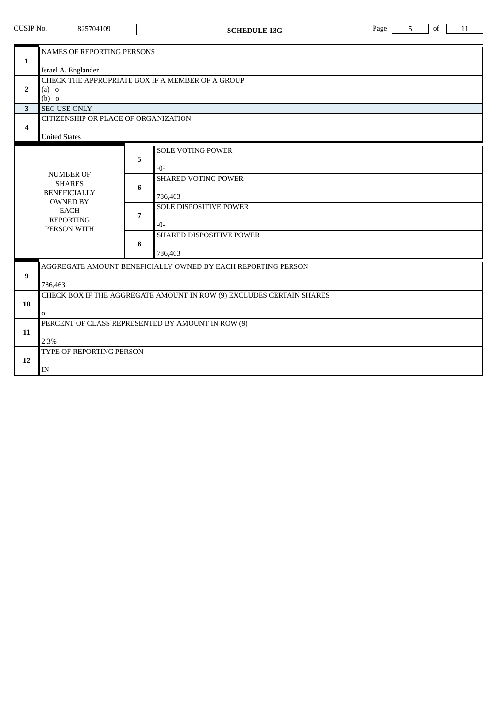| CUSIP No.                                                    | 825704109                                                            |                                                  | <b>SCHEDULE 13G</b>           | Page | 5 | of | 11 |  |  |  |
|--------------------------------------------------------------|----------------------------------------------------------------------|--------------------------------------------------|-------------------------------|------|---|----|----|--|--|--|
|                                                              |                                                                      |                                                  |                               |      |   |    |    |  |  |  |
|                                                              | NAMES OF REPORTING PERSONS                                           |                                                  |                               |      |   |    |    |  |  |  |
| $\mathbf{1}$                                                 | Israel A. Englander                                                  |                                                  |                               |      |   |    |    |  |  |  |
|                                                              |                                                                      |                                                  |                               |      |   |    |    |  |  |  |
| $\overline{2}$                                               | $(a)$ o                                                              | CHECK THE APPROPRIATE BOX IF A MEMBER OF A GROUP |                               |      |   |    |    |  |  |  |
|                                                              | $(b)$ o                                                              |                                                  |                               |      |   |    |    |  |  |  |
| 3                                                            | <b>SEC USE ONLY</b>                                                  |                                                  |                               |      |   |    |    |  |  |  |
|                                                              | CITIZENSHIP OR PLACE OF ORGANIZATION                                 |                                                  |                               |      |   |    |    |  |  |  |
| 4                                                            |                                                                      |                                                  |                               |      |   |    |    |  |  |  |
|                                                              | <b>United States</b>                                                 |                                                  |                               |      |   |    |    |  |  |  |
|                                                              |                                                                      |                                                  | <b>SOLE VOTING POWER</b>      |      |   |    |    |  |  |  |
|                                                              |                                                                      | 5                                                | $-0-$                         |      |   |    |    |  |  |  |
|                                                              | <b>NUMBER OF</b>                                                     |                                                  | <b>SHARED VOTING POWER</b>    |      |   |    |    |  |  |  |
|                                                              | <b>SHARES</b>                                                        | 6                                                |                               |      |   |    |    |  |  |  |
|                                                              | <b>BENEFICIALLY</b>                                                  |                                                  | 786,463                       |      |   |    |    |  |  |  |
|                                                              | <b>OWNED BY</b><br><b>EACH</b><br><b>REPORTING</b><br>PERSON WITH    |                                                  | <b>SOLE DISPOSITIVE POWER</b> |      |   |    |    |  |  |  |
|                                                              |                                                                      | 7                                                |                               |      |   |    |    |  |  |  |
|                                                              |                                                                      |                                                  | $-0-$                         |      |   |    |    |  |  |  |
|                                                              |                                                                      | 8                                                | SHARED DISPOSITIVE POWER      |      |   |    |    |  |  |  |
|                                                              |                                                                      |                                                  | 786,463                       |      |   |    |    |  |  |  |
| AGGREGATE AMOUNT BENEFICIALLY OWNED BY EACH REPORTING PERSON |                                                                      |                                                  |                               |      |   |    |    |  |  |  |
| 9                                                            |                                                                      |                                                  |                               |      |   |    |    |  |  |  |
|                                                              | 786,463                                                              |                                                  |                               |      |   |    |    |  |  |  |
| 10                                                           | CHECK BOX IF THE AGGREGATE AMOUNT IN ROW (9) EXCLUDES CERTAIN SHARES |                                                  |                               |      |   |    |    |  |  |  |
|                                                              |                                                                      |                                                  |                               |      |   |    |    |  |  |  |
| 11                                                           | 0                                                                    |                                                  |                               |      |   |    |    |  |  |  |
|                                                              | PERCENT OF CLASS REPRESENTED BY AMOUNT IN ROW (9)                    |                                                  |                               |      |   |    |    |  |  |  |
|                                                              | 2.3%                                                                 |                                                  |                               |      |   |    |    |  |  |  |
|                                                              | TYPE OF REPORTING PERSON                                             |                                                  |                               |      |   |    |    |  |  |  |
| 12                                                           |                                                                      |                                                  |                               |      |   |    |    |  |  |  |
|                                                              | IN                                                                   |                                                  |                               |      |   |    |    |  |  |  |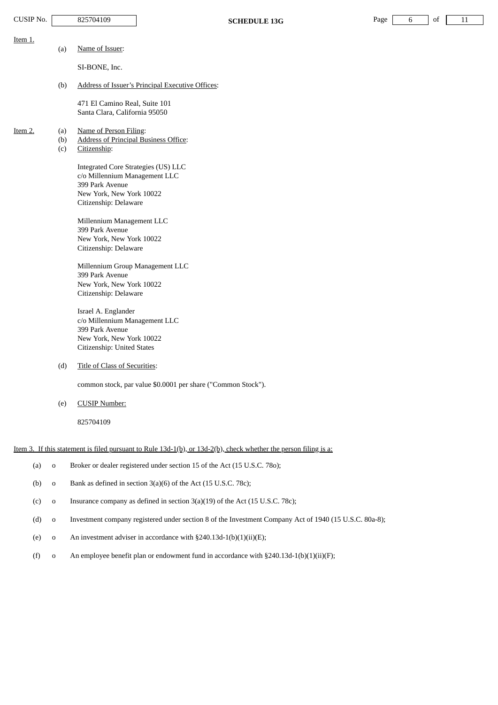| CUSIP No.                                                                                                        |                   | 825704109<br><b>SCHEDULE 13G</b>                                                                                                                    | Page |  | 6 | of | 11 |  |  |  |
|------------------------------------------------------------------------------------------------------------------|-------------------|-----------------------------------------------------------------------------------------------------------------------------------------------------|------|--|---|----|----|--|--|--|
| <u>Item 1.</u>                                                                                                   | (a)               | Name of Issuer:                                                                                                                                     |      |  |   |    |    |  |  |  |
|                                                                                                                  |                   | SI-BONE, Inc.                                                                                                                                       |      |  |   |    |    |  |  |  |
|                                                                                                                  | (b)               | <b>Address of Issuer's Principal Executive Offices:</b>                                                                                             |      |  |   |    |    |  |  |  |
|                                                                                                                  |                   | 471 El Camino Real, Suite 101<br>Santa Clara, California 95050                                                                                      |      |  |   |    |    |  |  |  |
| <u>Item 2.</u>                                                                                                   | (a)<br>(b)<br>(c) | Name of Person Filing:<br><b>Address of Principal Business Office:</b><br>Citizenship:                                                              |      |  |   |    |    |  |  |  |
|                                                                                                                  |                   | <b>Integrated Core Strategies (US) LLC</b><br>c/o Millennium Management LLC<br>399 Park Avenue<br>New York, New York 10022<br>Citizenship: Delaware |      |  |   |    |    |  |  |  |
|                                                                                                                  |                   | Millennium Management LLC<br>399 Park Avenue<br>New York, New York 10022<br>Citizenship: Delaware                                                   |      |  |   |    |    |  |  |  |
|                                                                                                                  |                   | Millennium Group Management LLC<br>399 Park Avenue<br>New York, New York 10022<br>Citizenship: Delaware                                             |      |  |   |    |    |  |  |  |
|                                                                                                                  |                   | Israel A. Englander<br>c/o Millennium Management LLC<br>399 Park Avenue<br>New York, New York 10022<br>Citizenship: United States                   |      |  |   |    |    |  |  |  |
|                                                                                                                  | (d)               | Title of Class of Securities:                                                                                                                       |      |  |   |    |    |  |  |  |
|                                                                                                                  |                   | common stock, par value \$0.0001 per share ("Common Stock").                                                                                        |      |  |   |    |    |  |  |  |
|                                                                                                                  | (e)               | <b>CUSIP Number:</b>                                                                                                                                |      |  |   |    |    |  |  |  |
|                                                                                                                  |                   | 825704109                                                                                                                                           |      |  |   |    |    |  |  |  |
| Item 3. If this statement is filed pursuant to Rule 13d-1(b), or 13d-2(b), check whether the person filing is a: |                   |                                                                                                                                                     |      |  |   |    |    |  |  |  |
| (a)                                                                                                              | $\mathbf 0$       | Broker or dealer registered under section 15 of the Act (15 U.S.C. 780);                                                                            |      |  |   |    |    |  |  |  |
| (b)                                                                                                              | $\mathbf O$       | Bank as defined in section 3(a)(6) of the Act (15 U.S.C. 78c);                                                                                      |      |  |   |    |    |  |  |  |

- (c) o Insurance company as defined in section 3(a)(19) of the Act (15 U.S.C. 78c);
- (d) o Investment company registered under section 8 of the Investment Company Act of 1940 (15 U.S.C. 80a-8);
- (e) o An investment adviser in accordance with  $\S 240.13d-1(b)(1)(ii)(E)$ ;
- (f) o An employee benefit plan or endowment fund in accordance with  $\S 240.13d-1(b)(1)(ii)(F)$ ;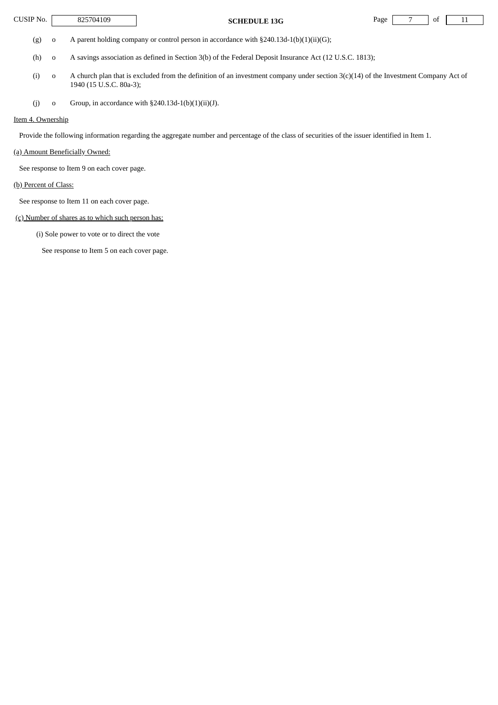

(g) o A parent holding company or control person in accordance with  $\S 240.13d-1(b)(1)(ii)(G);$ 

(h) o A savings association as defined in Section 3(b) of the Federal Deposit Insurance Act (12 U.S.C. 1813);

- (i) o A church plan that is excluded from the definition of an investment company under section 3(c)(14) of the Investment Company Act of 1940 (15 U.S.C. 80a-3);
- (j) o Group, in accordance with  $§240.13d-1(b)(1)(ii)(J)$ .

## Item 4. Ownership

Provide the following information regarding the aggregate number and percentage of the class of securities of the issuer identified in Item 1.

### (a) Amount Beneficially Owned:

See response to Item 9 on each cover page.

#### (b) Percent of Class:

See response to Item 11 on each cover page.

## (c) Number of shares as to which such person has:

(i) Sole power to vote or to direct the vote

See response to Item 5 on each cover page.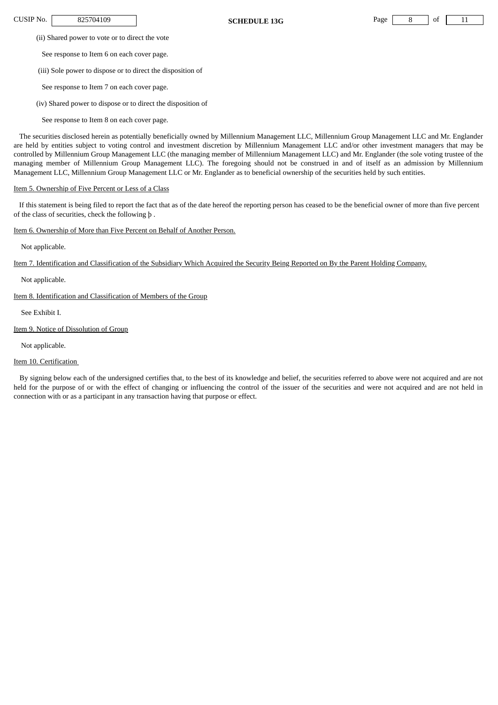CUSIP No. | 825704109 | **SCHEDULE 13G** Page 8 of 11

(ii) Shared power to vote or to direct the vote

See response to Item 6 on each cover page.

(iii) Sole power to dispose or to direct the disposition of

See response to Item 7 on each cover page.

(iv) Shared power to dispose or to direct the disposition of

See response to Item 8 on each cover page.

The securities disclosed herein as potentially beneficially owned by Millennium Management LLC, Millennium Group Management LLC and Mr. Englander are held by entities subject to voting control and investment discretion by Millennium Management LLC and/or other investment managers that may be controlled by Millennium Group Management LLC (the managing member of Millennium Management LLC) and Mr. Englander (the sole voting trustee of the managing member of Millennium Group Management LLC). The foregoing should not be construed in and of itself as an admission by Millennium Management LLC, Millennium Group Management LLC or Mr. Englander as to beneficial ownership of the securities held by such entities.

#### Item 5. Ownership of Five Percent or Less of a Class

 If this statement is being filed to report the fact that as of the date hereof the reporting person has ceased to be the beneficial owner of more than five percent of the class of securities, check the following þ .

Item 6. Ownership of More than Five Percent on Behalf of Another Person.

Not applicable.

Item 7. Identification and Classification of the Subsidiary Which Acquired the Security Being Reported on By the Parent Holding Company.

Not applicable.

Item 8. Identification and Classification of Members of the Group

See Exhibit I.

Item 9. Notice of Dissolution of Group

Not applicable.

#### Item 10. Certification

By signing below each of the undersigned certifies that, to the best of its knowledge and belief, the securities referred to above were not acquired and are not held for the purpose of or with the effect of changing or influencing the control of the issuer of the securities and were not acquired and are not held in connection with or as a participant in any transaction having that purpose or effect.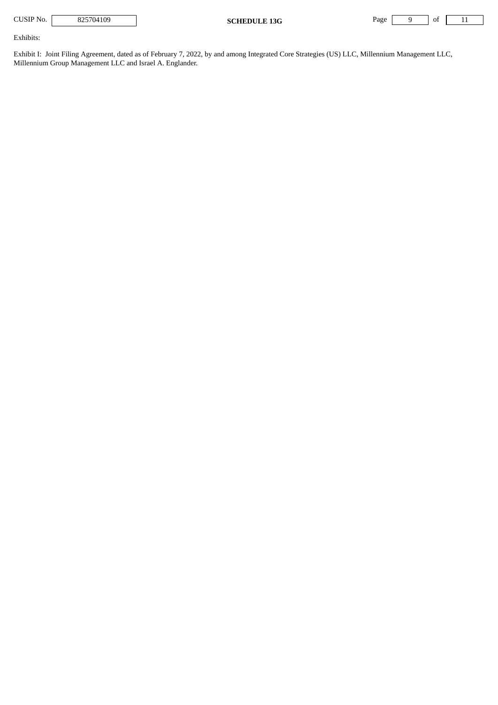**CUSIP No.** 825704109 **SCHEDULE 13G** Page 9 of 11

Exhibits:

Exhibit I: Joint Filing Agreement, dated as of February 7, 2022, by and among Integrated Core Strategies (US) LLC, Millennium Management LLC, Millennium Group Management LLC and Israel A. Englander.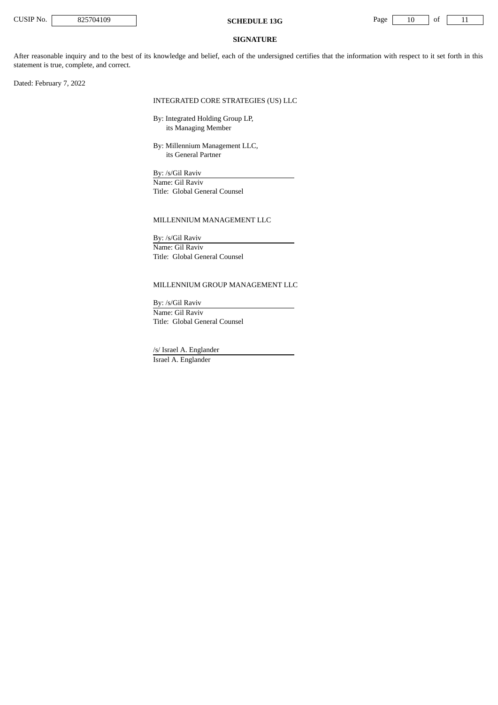**CUSIP No.** 825704109 **SCHEDULE 13G** Page 10 of 11

#### **SIGNATURE**

After reasonable inquiry and to the best of its knowledge and belief, each of the undersigned certifies that the information with respect to it set forth in this statement is true, complete, and correct.

Dated: February 7, 2022

## INTEGRATED CORE STRATEGIES (US) LLC

By: Integrated Holding Group LP, its Managing Member

By: Millennium Management LLC, its General Partner

By: /s/Gil Raviv Name: Gil Raviv Title: Global General Counsel

## MILLENNIUM MANAGEMENT LLC

By: /s/Gil Raviv Name: Gil Raviv Title: Global General Counsel

## MILLENNIUM GROUP MANAGEMENT LLC

By: /s/Gil Raviv Name: Gil Raviv Title: Global General Counsel

/s/ Israel A. Englander Israel A. Englander